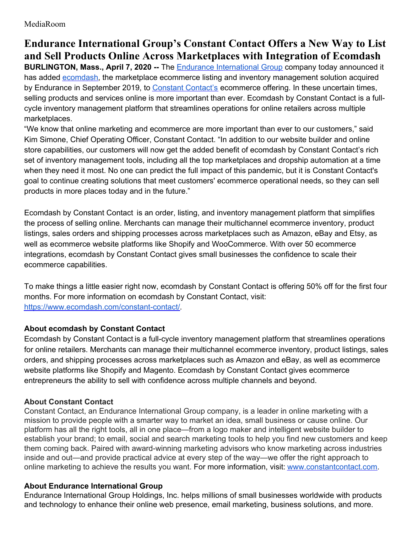MediaRoom

## **Endurance International Group's Constant Contact Offers a New Way to List and Sell Products Online Across Marketplaces with Integration of Ecomdash**

**BURLINGTON, Mass., April 7, 2020 --** The Endurance [International](https://www.endurance.com/) Group company today announced it has added [ecomdash](https://www.ecomdash.com/constant-contact/), the marketplace ecommerce listing and inventory management solution acquired by Endurance in September 2019, to Constant [Contact's](https://www.constantcontact.com/website/ecommerce) ecommerce offering. In these uncertain times, selling products and services online is more important than ever. Ecomdash by Constant Contact is a fullcycle inventory management platform that streamlines operations for online retailers across multiple marketplaces.

"We know that online marketing and ecommerce are more important than ever to our customers," said Kim Simone, Chief Operating Officer, Constant Contact. "In addition to our website builder and online store capabilities, our customers will now get the added benefit of ecomdash by Constant Contact's rich set of inventory management tools, including all the top marketplaces and dropship automation at a time when they need it most. No one can predict the full impact of this pandemic, but it is Constant Contact's goal to continue creating solutions that meet customers' ecommerce operational needs, so they can sell products in more places today and in the future."

Ecomdash by Constant Contact is an order, listing, and inventory management platform that simplifies the process of selling online. Merchants can manage their multichannel ecommerce inventory, product listings, sales orders and shipping processes across marketplaces such as Amazon, eBay and Etsy, as well as ecommerce website platforms like Shopify and WooCommerce. With over 50 ecommerce integrations, ecomdash by Constant Contact gives small businesses the confidence to scale their ecommerce capabilities.

To make things a little easier right now, ecomdash by Constant Contact is offering 50% off for the first four months. For more information on ecomdash by Constant Contact, visit: <https://www.ecomdash.com/constant-contact/>.

## **About ecomdash by Constant Contact**

Ecomdash by Constant Contact is a full-cycle inventory management platform that streamlines operations for online retailers. Merchants can manage their multichannel ecommerce inventory, product listings, sales orders, and shipping processes across marketplaces such as Amazon and eBay, as well as ecommerce website platforms like Shopify and Magento. Ecomdash by Constant Contact gives ecommerce entrepreneurs the ability to sell with confidence across multiple channels and beyond.

## **About Constant Contact**

Constant Contact, an Endurance International Group company, is a leader in online marketing with a mission to provide people with a smarter way to market an idea, small business or cause online. Our platform has all the right tools, all in one place—from a logo maker and intelligent website builder to establish your brand; to email, social and search marketing tools to help you find new customers and keep them coming back. Paired with award-winning marketing advisors who know marketing across industries inside and out—and provide practical advice at every step of the way—we offer the right approach to online marketing to achieve the results you want. For more information, visit: [www.constantcontact.com](http://www.constantcontact.com).

## **About Endurance International Group**

Endurance International Group Holdings, Inc. helps millions of small businesses worldwide with products and technology to enhance their online web presence, email marketing, business solutions, and more.